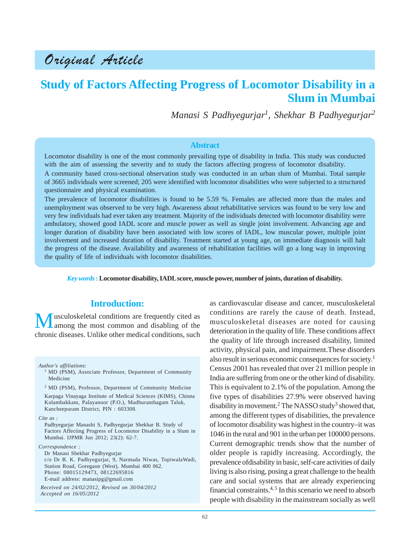# Original Article

# **Study of Factors Affecting Progress of Locomotor Disability in a Slum in Mumbai**

*Manasi S Padhyegurjar1 , Shekhar B Padhyegurjar<sup>2</sup>*

#### **Abstract**

Locomotor disability is one of the most commonly prevailing type of disability in India. This study was conducted with the aim of assessing the severity and to study the factors affecting progress of locomotor disability.

A community based cross-sectional observation study was conducted in an urban slum of Mumbai. Total sample of 3665 individuals were screened; 205 were identified with locomotor disabilities who were subjected to a structured questionnaire and physical examination.

The prevalence of locomotor disabilities is found to be 5.59 %. Females are affected more than the males and unemployment was observed to be very high. Awareness about rehabilitative services was found to be very low and very few individuals had ever taken any treatment. Majority of the individuals detected with locomotor disability were ambulatory, showed good IADL score and muscle power as well as single joint involvement. Advancing age and longer duration of disability have been associated with low scores of IADL, low muscular power, multiple joint involvement and increased duration of disability. Treatment started at young age, on immediate diagnosis will halt the progress of the disease. Availability and awareness of rehabilitation facilities will go a long way in improving the quality of life of individuals with locomotor disabilities.

*Key words* **: Locomotor disability, IADL score, muscle power, number of joints, duration of disability.**

#### **Introduction:**

Musculoskeletal conditions are frequently cited as<br>among the most common and disabling of the chronic diseases. Unlike other medical conditions, such

*Author's affiliations:*

<sup>2</sup> MD (PSM), Professor, Department of Community Medicine Karpaga Vinayaga Institute of Medical Sciences (KIMS), Chinna Kolambakkam, Palayanoor (P.O.), Madhuranthagam Taluk, Kancheepuram District, PIN : 603308.

*Cite as :*

Padhyegurjar Manashi S, Padhyegurjar Shekhar B. Study of Factors Affecting Progress of Locomotor Disability in a Slum in Mumbai. IJPMR Jun 2012; 23(2): 62-7.

*Correspondence :*

Dr Manasi Shekhar Padhyegurjar c/o Dr B. K. Padhyegurjar, 9, Narmada Niwas, TopiwalaWadi, Station Road, Goregaon (West), Mumbai 400 062. Phone: 08015129473, 08122695816 E-mail address: manasipg@gmail.com

*Received on 24/02/2012, Revised on 30/04/2012 Accepted on 16/05/2012*

as cardiovascular disease and cancer, musculoskeletal conditions are rarely the cause of death. Instead, musculoskeletal diseases are noted for causing deterioration in the quality of life. These conditions affect the quality of life through increased disability, limited activity, physical pain, and impairment.These disorders also result in serious economic consequences for society.1 Census 2001 has revealed that over 21 million people in India are suffering from one or the other kind of disability. This is equivalent to 2.1% of the population. Among the five types of disabilities 27.9% were observed having disability in movement.<sup>2</sup> The NASSO study<sup>3</sup> showed that, among the different types of disabilities, the prevalence of locomotor disability was highest in the country–it was 1046 in the rural and 901 in the urban per 100000 persons. Current demographic trends show that the number of older people is rapidly increasing. Accordingly, the prevalence ofdisability in basic, self-care activities of daily living is also rising, posing a great challenge to the health care and social systems that are already experiencing financial constraints.<sup>4, 5</sup> In this scenario we need to absorb people with disability in the mainstream socially as well

<sup>&</sup>lt;sup>1</sup> MD (PSM), Associate Professor, Department of Community Medicine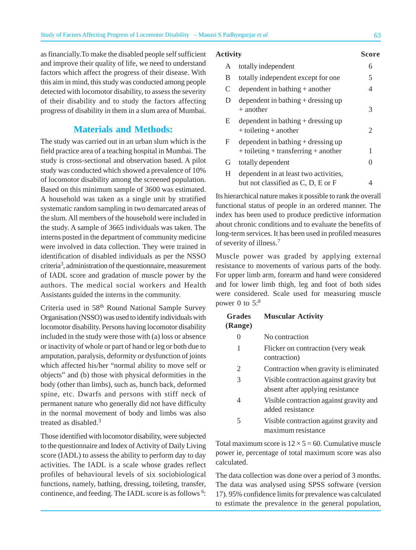as financially.To make the disabled people self sufficient and improve their quality of life, we need to understand factors which affect the progress of their disease. With this aim in mind, this study was conducted among people detected with locomotor disability, to assess the severity of their disability and to study the factors affecting progress of disability in them in a slum area of Mumbai.

### **Materials and Methods:**

The study was carried out in an urban slum which is the field practice area of a teaching hospital in Mumbai. The study is cross-sectional and observation based. A pilot study was conducted which showed a prevalence of 10% of locomotor disability among the screened population. Based on this minimum sample of 3600 was estimated. A household was taken as a single unit by stratified systematic random sampling in two demarcated areas of the slum. All members of the household were included in the study. A sample of 3665 individuals was taken. The interns posted in the department of community medicine were involved in data collection. They were trained in identification of disabled individuals as per the NSSO criteria<sup>3</sup>, administration of the questionnaire, measurement of IADL score and gradation of muscle power by the authors. The medical social workers and Health Assistants guided the interns in the community.

Criteria used in 58th Round National Sample Survey Organisation (NSSO) was used to identify individuals with locomotor disability. Persons having locomotor disability included in the study were those with (a) loss or absence or inactivity of whole or part of hand or leg or both due to amputation, paralysis, deformity or dysfunction of joints which affected his/her "normal ability to move self or objects" and (b) those with physical deformities in the body (other than limbs), such as, hunch back, deformed spine, etc. Dwarfs and persons with stiff neck of permanent nature who generally did not have difficulty in the normal movement of body and limbs was also treated as disabled.<sup>3</sup>

Those identified with locomotor disability, were subjected to the questionnaire and Index of Activity of Daily Living score (IADL) to assess the ability to perform day to day activities. The IADL is a scale whose grades reflect profiles of behavioural levels of six sociobiological functions, namely, bathing, dressing, toileting, transfer, continence, and feeding. The IADL score is as follows <sup>6</sup>:

#### **Activity Score**

| A | totally independent                                                                |   |
|---|------------------------------------------------------------------------------------|---|
| B | totally independent except for one                                                 | 5 |
| C | dependent in bathing $+$ another                                                   | 4 |
| D | dependent in bathing $+$ dressing up<br>$+$ another                                | 3 |
| E | dependent in bathing $+$ dressing up<br>$+$ toileting $+$ another                  | 2 |
| F | dependent in bathing $+$ dressing up<br>$+$ toileting $+$ transferring $+$ another | 1 |
| G | totally dependent                                                                  |   |
| H | dependent in at least two activities,                                              |   |
|   | but not classified as C, D, E or F                                                 |   |

Its hierarchical nature makes it possible to rank the overall functional status of people in an ordered manner. The index has been used to produce predictive information about chronic conditions and to evaluate the benefits of long-term services. It has been used in profiled measures of severity of illness.<sup>7</sup>

Muscle power was graded by applying external resistance to movements of various parts of the body. For upper limb arm, forearm and hand were considered and for lower limb thigh, leg and foot of both sides were considered. Scale used for measuring muscle power 0 to  $5:8$ 

#### **Grades Muscular Activity (Range)**

| 0 | No contraction |
|---|----------------|
|   |                |

- 1 Flicker on contraction (very weak contraction)
- 2 Contraction when gravity is eliminated
- 3 Visible contraction against gravity but absent after applying resistance
- 4 Visible contraction against gravity and added resistance
- 5 Visible contraction against gravity and maximum resistance

Total maximum score is  $12 \times 5 = 60$ . Cumulative muscle power ie, percentage of total maximum score was also calculated.

The data collection was done over a period of 3 months. The data was analysed using SPSS software (version 17). 95% confidence limits for prevalence was calculated to estimate the prevalence in the general population,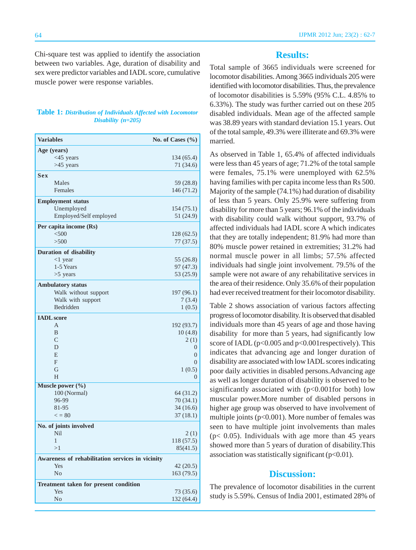Chi-square test was applied to identify the association between two variables. Age, duration of disability and sex were predictor variables and IADL score, cumulative muscle power were response variables.

#### **Table 1:** *Distribution of Individuals Affected with Locomotor Disability (n=205)*

| <b>Variables</b>                                 | No. of Cases $(\% )$ |
|--------------------------------------------------|----------------------|
| Age (years)                                      |                      |
| $<$ 45 years                                     | 134 (65.4)           |
| $>45$ years                                      | 71 (34.6)            |
| <b>Sex</b>                                       |                      |
| Males                                            | 59 (28.8)            |
| Females                                          | 146 (71.2)           |
| <b>Employment status</b>                         |                      |
| Unemployed                                       | 154(75.1)            |
| Employed/Self employed                           | 51(24.9)             |
| Per capita income (Rs)                           |                      |
| < 500                                            | 128(62.5)            |
| >500                                             | 77(37.5)             |
| Duration of disability                           |                      |
| $<1$ year                                        | 55 $(26.8)$          |
| 1-5 Years                                        | 97 (47.3)            |
| $>5$ years                                       | 53 (25.9)            |
| <b>Ambulatory status</b>                         |                      |
| Walk without support                             | 197 (96.1)           |
| Walk with support                                | 7(3.4)               |
| Bedridden                                        | 1(0.5)               |
| <b>IADL</b> score                                |                      |
| A                                                | 192 (93.7)           |
| B                                                | 10(4.8)              |
| $\overline{C}$                                   | 2(1)                 |
| D                                                | 0                    |
| E                                                | $\overline{0}$       |
| F                                                | $\overline{0}$       |
| G<br>H                                           | 1(0.5)               |
|                                                  | 0                    |
| Muscle power (%)<br>100 (Normal)                 | 64 (31.2)            |
| 96-99                                            | 70(34.1)             |
| 81-95                                            | 34(16.6)             |
| $\epsilon = 80$                                  | 37(18.1)             |
| No. of joints involved                           |                      |
| Nil                                              | 2(1)                 |
|                                                  | 118 (57.5)           |
| >1                                               | 85(41.5)             |
| Awareness of rehabilitation services in vicinity |                      |
| Yes                                              | 42(20.5)             |
| N <sub>o</sub>                                   | 163 (79.5)           |
| Treatment taken for present condition            |                      |
| Yes                                              | 73 (35.6)            |
| No                                               | 132 (64.4)           |
|                                                  |                      |

# **Results:**

Total sample of 3665 individuals were screened for locomotor disabilities. Among 3665 individuals 205 were identified with locomotor disabilities. Thus, the prevalence of locomotor disabilities is 5.59% (95% C.L. 4.85% to 6.33%). The study was further carried out on these 205 disabled individuals. Mean age of the affected sample was 38.89 years with standard deviation 15.1 years. Out of the total sample, 49.3% were illiterate and 69.3% were married.

As observed in Table 1, 65.4% of affected individuals were less than 45 years of age; 71.2% of the total sample were females, 75.1% were unemployed with 62.5% having families with per capita income less than Rs 500. Majority of the sample (74.1%) had duration of disability of less than 5 years. Only 25.9% were suffering from disability for more than 5 years; 96.1% of the individuals with disability could walk without support, 93.7% of affected individuals had IADL score A which indicates that they are totally independent; 81.9% had more than 80% muscle power retained in extremities; 31.2% had normal muscle power in all limbs; 57.5% affected individuals had single joint involvement. 79.5% of the sample were not aware of any rehabilitative services in the area of their residence. Only 35.6% of their population had ever received treatment for their locomotor disability.

Table 2 shows association of various factors affecting progress of locomotor disability. It is observed that disabled individuals more than 45 years of age and those having disability for more than 5 years, had significantly low score of IADL (p<0.005 and p<0.001respectively). This indicates that advancing age and longer duration of disability are associated with low IADL scores indicating poor daily activities in disabled persons.Advancing age as well as longer duration of disability is observed to be significantly associated with  $(p<0.001$  for both) low muscular power.More number of disabled persons in higher age group was observed to have involvement of multiple joints  $(p<0.001)$ . More number of females was seen to have multiple joint involvements than males ( $p$ < 0.05). Individuals with age more than 45 years showed more than 5 years of duration of disability.This association was statistically significant  $(p<0.01)$ .

## **Discussion:**

The prevalence of locomotor disabilities in the current study is 5.59%. Census of India 2001, estimated 28% of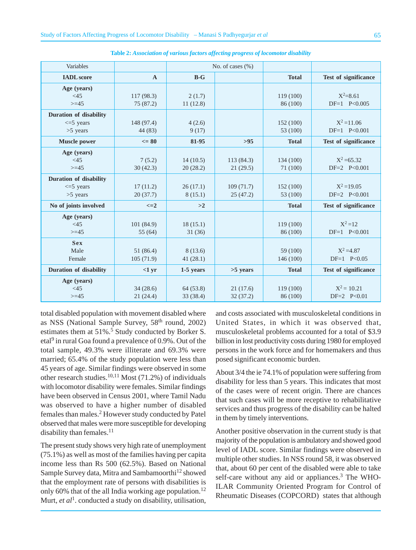| Variables                     |                | No. of cases $(\% )$ |            |              |                      |
|-------------------------------|----------------|----------------------|------------|--------------|----------------------|
| <b>IADL</b> score             | $\mathbf{A}$   | $B-G$                |            | <b>Total</b> | Test of significance |
| Age (years)                   |                |                      |            |              |                      |
| <45                           | 117(98.3)      | 2(1.7)               |            | 119(100)     | $X^2 = 8.61$         |
| $>= 45$                       | 75(87.2)       | 11(12.8)             |            | 86 (100)     | $DF=1$ $P<0.005$     |
| <b>Duration of disability</b> |                |                      |            |              |                      |
| $\leq$ 5 years                | 148 (97.4)     | 4(2.6)               |            | 152(100)     | $X^2 = 11.06$        |
| $>5$ years                    | 44 (83)        | 9(17)                |            | 53 (100)     | $DF=1$ $P<0.001$     |
| <b>Muscle power</b>           | $\leq$ 80      | 81-95                | $>95$      | <b>Total</b> | Test of significance |
| Age (years)                   |                |                      |            |              |                      |
| <45                           | 7(5.2)         | 14(10.5)             | 113(84.3)  | 134 (100)    | $X^2 = 65.32$        |
| $>= 45$                       | 30(42.3)       | 20(28.2)             | 21(29.5)   | 71 (100)     | $DF=2$ $P<0.001$     |
| <b>Duration of disability</b> |                |                      |            |              |                      |
| $\leq$ 5 years                | 17(11.2)       | 26(17.1)             | 109(71.7)  | 152(100)     | $X^2 = 19.05$        |
| $>5$ years                    | 20(37.7)       | 8(15.1)              | 25(47.2)   | 53 (100)     | $DF=2$ $P<0.001$     |
| No of joints involved         | $\leq$ $=$ $2$ | >2                   |            | <b>Total</b> | Test of significance |
| Age (years)                   |                |                      |            |              |                      |
| <45                           | 101(84.9)      | 18(15.1)             |            | 119 (100)    | $X^2 = 12$           |
| $>=15$                        | 55(64)         | 31(36)               |            | 86 (100)     | $DF=1$ $P<0.001$     |
| <b>Sex</b>                    |                |                      |            |              |                      |
| Male                          | 51 (86.4)      | 8 (13.6)             |            | 59 (100)     | $X^2 = 4.87$         |
| Female                        | 105(71.9)      | 41(28.1)             |            | 146 (100)    | $DF=1$ $P<0.05$      |
| <b>Duration of disability</b> | $<1$ yr        | 1-5 years            | $>5$ years | <b>Total</b> | Test of significance |
| Age (years)                   |                |                      |            |              |                      |
| <45                           | 34(28.6)       | 64(53.8)             | 21(17.6)   | 119(100)     | $X^2 = 10.21$        |
| $>=15$                        | 21(24.4)       | 33 (38.4)            | 32(37.2)   | 86 (100)     | $DF=2$ $P<0.01$      |

**Table 2:** *Association of various factors affecting progress of locomotor disability*

total disabled population with movement disabled where as NSS (National Sample Survey, 58<sup>th</sup> round, 2002) estimates them at 51%.<sup>5</sup> Study conducted by Borker S. etal<sup>9</sup> in rural Goa found a prevalence of 0.9%. Out of the total sample, 49.3% were illiterate and 69.3% were married; 65.4% of the study population were less than 45 years of age. Similar findings were observed in some other research studies.<sup>10,11</sup> Most (71.2%) of individuals with locomotor disability were females. Similar findings have been observed in Census 2001, where Tamil Nadu was observed to have a higher number of disabled females than males.2 However study conducted by Patel observed that males were more susceptible for developing disability than females.<sup>11</sup>

The present study shows very high rate of unemployment (75.1%) as well as most of the families having per capita income less than Rs 500 (62.5%). Based on National Sample Survey data, Mitra and Sambamoorthi<sup>12</sup> showed that the employment rate of persons with disabilities is only 60% that of the all India working age population.<sup>12</sup> Murt, *et al*<sup>1</sup>. conducted a study on disability, utilisation,

and costs associated with musculoskeletal conditions in United States, in which it was observed that, musculoskeletal problems accounted for a total of \$3.9 billion in lost productivity costs during 1980 for employed persons in the work force and for homemakers and thus posed significant economic burden.

About 3/4 the ie 74.1% of population were suffering from disability for less than 5 years. This indicates that most of the cases were of recent origin. There are chances that such cases will be more receptive to rehabilitative services and thus progress of the disability can be halted in them by timely interventions.

Another positive observation in the current study is that majority of the population is ambulatory and showed good level of IADL score. Similar findings were observed in multiple other studies. In NSS round 58, it was observed that, about 60 per cent of the disabled were able to take self-care without any aid or appliances.<sup>3</sup> The WHO-ILAR Community Oriented Program for Control of Rheumatic Diseases (COPCORD) states that although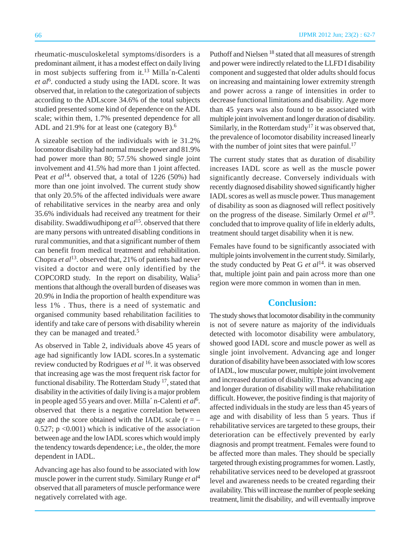rheumatic-musculoskeletal symptoms/disorders is a predominant ailment, it has a modest effect on daily living in most subjects suffering from it.<sup>13</sup> Milla´n-Calenti et al<sup>6</sup>. conducted a study using the IADL score. It was observed that, in relation to the categorization of subjects according to the ADLscore 34.6% of the total subjects studied presented some kind of dependence on the ADL scale; within them, 1.7% presented dependence for all ADL and 21.9% for at least one (category B).<sup>6</sup>

A sizeable section of the individuals with ie 31.2% locomotor disability had normal muscle power and 81.9% had power more than 80; 57.5% showed single joint involvement and 41.5% had more than 1 joint affected. Peat *et al*<sup>14</sup>. observed that, a total of 1226 (50%) had more than one joint involved. The current study show that only 20.5% of the affected individuals were aware of rehabilitative services in the nearby area and only 35.6% individuals had received any treatment for their disability. Swaddiwudhipong *et al*15. observed that there are many persons with untreated disabling conditions in rural communities, and that a significant number of them can benefit from medical treatment and rehabilitation. Chopra *et al*13. observed that, 21% of patients had never visited a doctor and were only identified by the COPCORD study. In the report on disability, Walia<sup>5</sup> mentions that although the overall burden of diseases was 20.9% in India the proportion of health expenditure was less 1% . Thus, there is a need of systematic and organised community based rehabilitation facilities to identify and take care of persons with disability wherein they can be managed and treated.<sup>5</sup>

As observed in Table 2, individuals above 45 years of age had significantly low IADL scores.In a systematic review conducted by Rodrigues *et al* 16. it was observed that increasing age was the most frequent risk factor for functional disability. The Rotterdam Study  $17$ , stated that disability in the activities of daily living is a major problem in people aged 55 years and over. Milla´ n-Calenti *et al*<sup>6</sup> . observed that there is a negative correlation between age and the score obtained with the IADL scale  $(r = 0.527$ ; p <0.001) which is indicative of the association between age and the low IADL scores which would imply the tendency towards dependence; i.e., the older, the more dependent in IADL.

Advancing age has also found to be associated with low muscle power in the current study. Similary Runge *et al*<sup>4</sup> observed that all parameters of muscle performance were negatively correlated with age.

Puthoff and Nielsen 18 stated that all measures of strength and power were indirectly related to the LLFD I disability component and suggested that older adults should focus on increasing and maintaining lower extremity strength and power across a range of intensities in order to decrease functional limitations and disability. Age more than 45 years was also found to be associated with multiple joint involvement and longer duration of disability. Similarly, in the Rotterdam study<sup>17</sup> it was observed that, the prevalence of locomotor disability increased linearly with the number of joint sites that were painful.<sup>17</sup>

The current study states that as duration of disability increases IADL score as well as the muscle power significantly decrease. Conversely individuals with recently diagnosed disability showed significantly higher IADL scores as well as muscle power. Thus management of disability as soon as diagnosed will reflect positively on the progress of the disease. Similarly Ormel *et al*19. concluded that to improve quality of life in elderly adults, treatment should target disability when it is new.

Females have found to be significantly associated with multiple joints involvement in the current study. Similarly, the study conducted by Peat G *et al*14. it was observed that, multiple joint pain and pain across more than one region were more common in women than in men.

# **Conclusion:**

The study shows that locomotor disability in the community is not of severe nature as majority of the individuals detected with locomotor disability were ambulatory, showed good IADL score and muscle power as well as single joint involvement. Advancing age and longer duration of disability have been associated with low scores of IADL, low muscular power, multiple joint involvement and increased duration of disability. Thus advancing age and longer duration of disability will make rehabilitation difficult. However, the positive finding is that majority of affected individuals in the study are less than 45 years of age and with disability of less than 5 years. Thus if rehabilitative services are targeted to these groups, their deterioration can be effectively prevented by early diagnosis and prompt treatment. Females were found to be affected more than males. They should be specially targeted through existing programmes for women. Lastly, rehabilitative services need to be developed at grassroot level and awareness needs to be created regarding their availability. This will increase the number of people seeking treatment, limit the disability, and will eventually improve